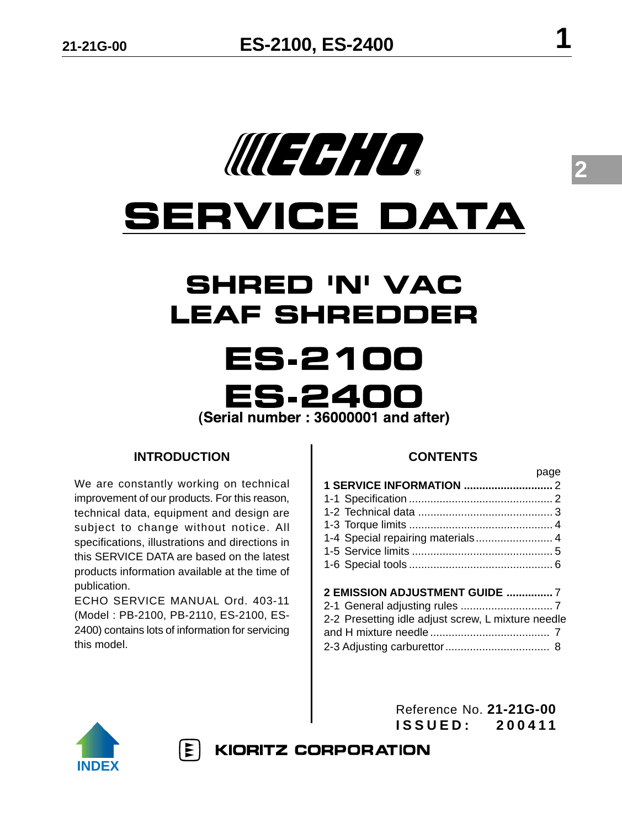

# **SERVICE DATA**

# **SHRED 'N' VAC LEAF SHREDDER**

# ES-2100 ES.240

(Serial number: 36000001 and after)

### **INTRODUCTION**

We are constantly working on technical improvement of our products. For this reason, technical data, equipment and design are subject to change without notice. All specifications, illustrations and directions in this SERVICE DATA are based on the latest products information available at the time of publication.

ECHO SERVICE MANUAL Ord. 403-11 (Model : PB-2100, PB-2110, ES-2100, ES-2400) contains lots of information for servicing this model.

 $|\mathbf{E}|$ 

### **CONTENTS**

| <u>page</u>                                        |  |
|----------------------------------------------------|--|
|                                                    |  |
|                                                    |  |
|                                                    |  |
|                                                    |  |
| 1-4 Special repairing materials 4                  |  |
|                                                    |  |
|                                                    |  |
|                                                    |  |
| <b>2 EMISSION ADJUSTMENT GUIDE 7</b>               |  |
|                                                    |  |
| 2-2 Presetting idle adjust screw, L mixture needle |  |



Reference No. **21-21G-00 ISSUED: 200411**

**KIORITZ CORPORATION** 

**2**

page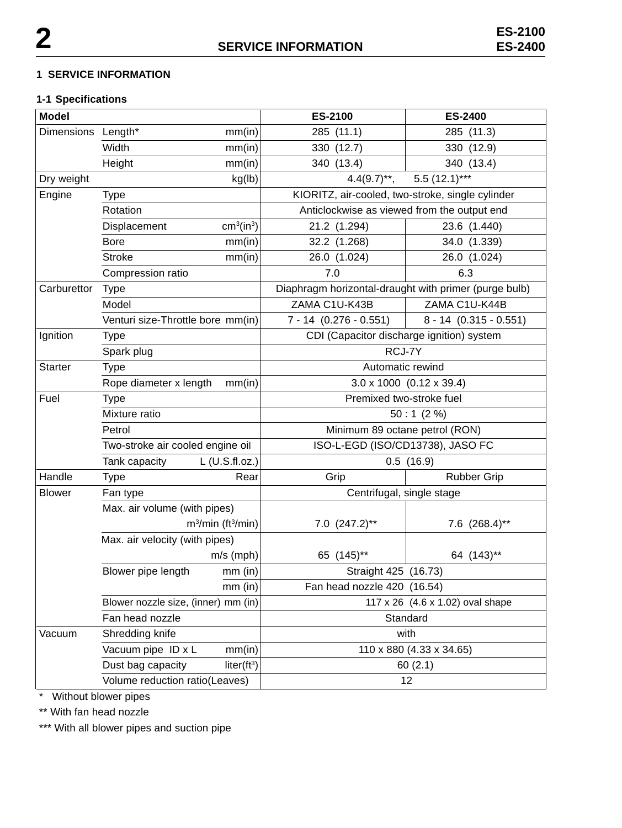#### **1 SERVICE INFORMATION**

#### **1-1 Specifications**

| <b>Model</b>                      |                                     |                                           | ES-2100                                               | <b>ES-2400</b>           |
|-----------------------------------|-------------------------------------|-------------------------------------------|-------------------------------------------------------|--------------------------|
| Dimensions Length*                |                                     | mm(in)                                    | 285 (11.1)                                            | 285 (11.3)               |
|                                   | Width                               | mm(in)                                    | 330 (12.7)                                            | 330 (12.9)               |
|                                   | Height                              | mm(in)                                    | 340 (13.4)                                            | 340 (13.4)               |
| Dry weight                        |                                     | kg(lb)                                    | $4.4(9.7)$ **,                                        | $5.5(12.1)***$           |
| Engine                            | <b>Type</b>                         |                                           | KIORITZ, air-cooled, two-stroke, single cylinder      |                          |
|                                   | Rotation                            |                                           | Anticlockwise as viewed from the output end           |                          |
|                                   | Displacement                        | cm <sup>3</sup> (in <sup>3</sup> )        | 21.2 (1.294)                                          | 23.6 (1.440)             |
|                                   | <b>Bore</b>                         | mm(in)                                    | 32.2 (1.268)                                          | 34.0 (1.339)             |
|                                   | <b>Stroke</b>                       | mm(in)                                    | 26.0 (1.024)                                          | 26.0 (1.024)             |
|                                   | Compression ratio                   |                                           | 7.0                                                   | 6.3                      |
| Carburettor                       | <b>Type</b>                         |                                           | Diaphragm horizontal-draught with primer (purge bulb) |                          |
|                                   | Model                               |                                           | ZAMA C1U-K43B                                         | ZAMA C1U-K44B            |
|                                   | Venturi size-Throttle bore mm(in)   |                                           | $7 - 14$ (0.276 - 0.551)                              | $8 - 14 (0.315 - 0.551)$ |
| Ignition<br>Type<br>Spark plug    |                                     | CDI (Capacitor discharge ignition) system |                                                       |                          |
|                                   |                                     | RCJ-7Y                                    |                                                       |                          |
| <b>Starter</b><br><b>Type</b>     |                                     | Automatic rewind                          |                                                       |                          |
|                                   | Rope diameter x length<br>mm(in)    |                                           | $3.0 \times 1000$ (0.12 x 39.4)                       |                          |
| Fuel                              | Type                                |                                           | Premixed two-stroke fuel                              |                          |
|                                   | Mixture ratio                       |                                           | 50:1(2%)                                              |                          |
|                                   | Petrol                              |                                           | Minimum 89 octane petrol (RON)                        |                          |
|                                   | Two-stroke air cooled engine oil    |                                           | ISO-L-EGD (ISO/CD13738), JASO FC                      |                          |
| $L$ (U.S.fl.oz.)<br>Tank capacity |                                     | 0.5(16.9)                                 |                                                       |                          |
| Handle                            | <b>Type</b>                         | Rear                                      | Grip                                                  | <b>Rubber Grip</b>       |
| <b>Blower</b>                     | Fan type                            |                                           | Centrifugal, single stage                             |                          |
|                                   | Max. air volume (with pipes)        |                                           |                                                       |                          |
|                                   | $m^3/m$ in (ft $^3/m$ in)           |                                           | $7.0$ $(247.2)$ **                                    | 7.6 (268.4)**            |
|                                   | Max. air velocity (with pipes)      |                                           |                                                       |                          |
|                                   |                                     | $m/s$ (mph)                               | 65 (145)**                                            | 64 (143)**               |
|                                   | Blower pipe length                  | $mm$ (in)                                 | Straight 425 (16.73)                                  |                          |
|                                   | $mm$ (in)                           |                                           | Fan head nozzle 420 (16.54)                           |                          |
|                                   | Blower nozzle size, (inner) mm (in) |                                           | 117 x 26 (4.6 x 1.02) oval shape                      |                          |
| Fan head nozzle                   |                                     |                                           | Standard                                              |                          |
| Shredding knife<br>Vacuum         |                                     | with                                      |                                                       |                          |
|                                   | Vacuum pipe ID x L                  | mm(in)                                    | 110 x 880 (4.33 x 34.65)                              |                          |
|                                   | liter $(ft^3)$<br>Dust bag capacity |                                           | 60(2.1)                                               |                          |
| Volume reduction ratio(Leaves)    |                                     | 12                                        |                                                       |                          |

\* Without blower pipes

\*\* With fan head nozzle

\*\*\* With all blower pipes and suction pipe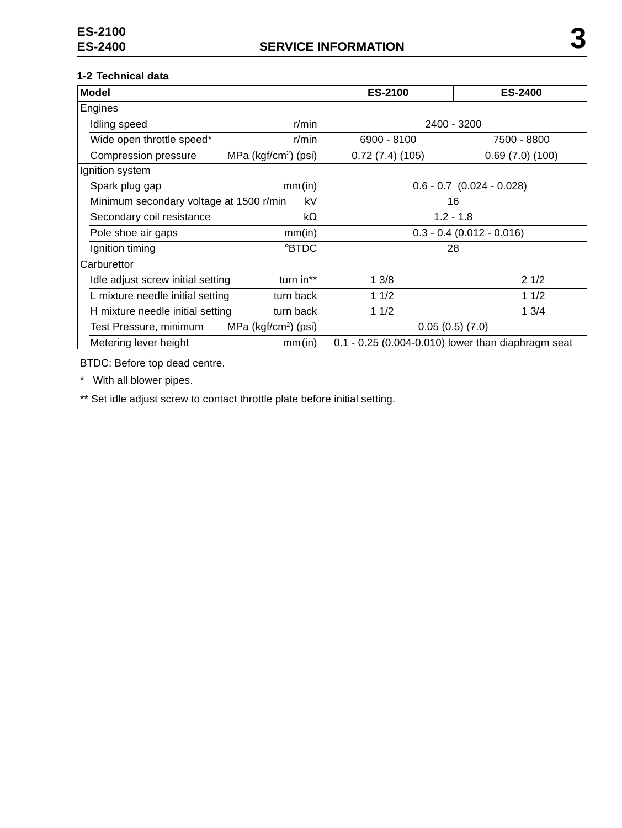#### **1-2 Technical data**

| <b>Model</b>                            |                                    | ES-2100                       | <b>ES-2400</b>                                       |
|-----------------------------------------|------------------------------------|-------------------------------|------------------------------------------------------|
| Engines                                 |                                    |                               |                                                      |
| Idling speed                            | r/min                              |                               | 2400 - 3200                                          |
| Wide open throttle speed*               | r/min                              | 6900 - 8100                   | 7500 - 8800                                          |
| Compression pressure                    | MPa (kgf/cm <sup>2</sup> ) (psi)   | 0.72(7.4)(105)                | 0.69(7.0)(100)                                       |
| Ignition system                         |                                    |                               |                                                      |
| Spark plug gap                          | mm(in)                             | $0.6 - 0.7$ $(0.024 - 0.028)$ |                                                      |
| Minimum secondary voltage at 1500 r/min | kV                                 | 16                            |                                                      |
| Secondary coil resistance<br>kΩ         |                                    | $1.2 - 1.8$                   |                                                      |
| Pole shoe air gaps                      | mm(in)                             |                               | $0.3 - 0.4$ (0.012 - 0.016)                          |
| <b>BTDC</b><br>Ignition timing          |                                    | 28                            |                                                      |
| Carburettor                             |                                    |                               |                                                      |
| Idle adjust screw initial setting       | turn in**                          | 13/8                          | 21/2                                                 |
| L mixture needle initial setting        | turn back                          | 11/2                          | 11/2                                                 |
| H mixture needle initial setting        | turn back                          | 11/2                          | 13/4                                                 |
| Test Pressure, minimum                  | $MPa$ (kgf/cm <sup>2</sup> ) (psi) | 0.05(0.5)(7.0)                |                                                      |
| Metering lever height                   | mm(in)                             |                               | $0.1 - 0.25$ (0.004-0.010) lower than diaphragm seat |

BTDC: Before top dead centre.

\* With all blower pipes.

\*\* Set idle adjust screw to contact throttle plate before initial setting.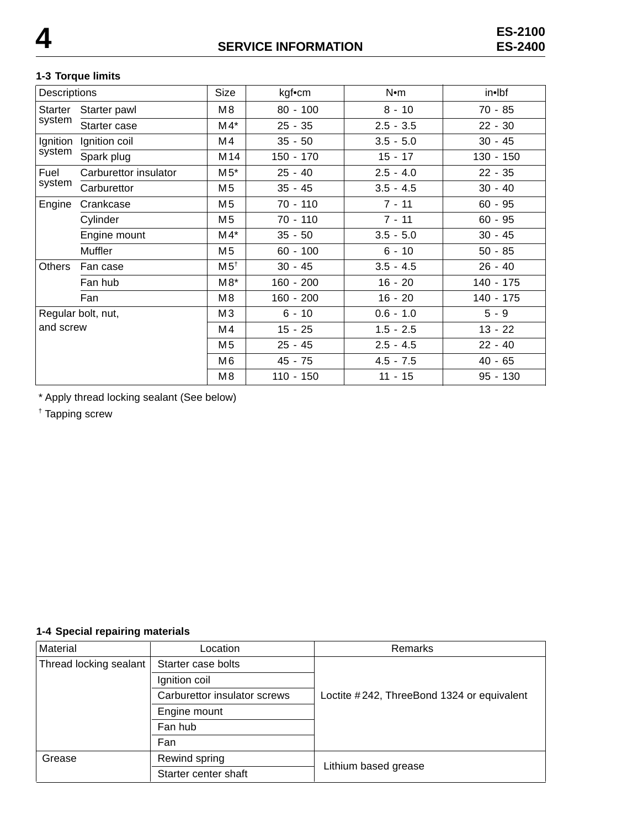#### **1-3 Torque limits**

| Descriptions       |                       | Size            | kgf•cm      | N•m         | in•lbf      |
|--------------------|-----------------------|-----------------|-------------|-------------|-------------|
| Starter            | Starter pawl          | M8              | $80 - 100$  | $8 - 10$    | $70 - 85$   |
| system             | Starter case          | $M4*$           | $25 - 35$   | $2.5 - 3.5$ | $22 - 30$   |
| Ignition           | Ignition coil         | M4              | $35 - 50$   | $3.5 - 5.0$ | $30 - 45$   |
| system             | Spark plug            | M14             | 150 - 170   | $15 - 17$   | $130 - 150$ |
| Fuel               | Carburettor insulator | $M5*$           | $25 - 40$   | $2.5 - 4.0$ | $22 - 35$   |
| system             | Carburettor           | M <sub>5</sub>  | $35 - 45$   | $3.5 - 4.5$ | $30 - 40$   |
| Engine             | Crankcase             | M <sub>5</sub>  | $70 - 110$  | $7 - 11$    | $60 - 95$   |
|                    | Cylinder              | M <sub>5</sub>  | $70 - 110$  | $7 - 11$    | $60 - 95$   |
|                    | Engine mount          | $M4*$           | $35 - 50$   | $3.5 - 5.0$ | $30 - 45$   |
|                    | <b>Muffler</b>        | M <sub>5</sub>  | $60 - 100$  | $6 - 10$    | $50 - 85$   |
| Others             | Fan case              | M5 <sup>†</sup> | $30 - 45$   | $3.5 - 4.5$ | $26 - 40$   |
|                    | Fan hub               | $M8*$           | $160 - 200$ | $16 - 20$   | 140 - 175   |
|                    | Fan                   | M8              | $160 - 200$ | $16 - 20$   | 140 - 175   |
| Regular bolt, nut, |                       | M <sub>3</sub>  | $6 - 10$    | $0.6 - 1.0$ | $5 - 9$     |
| and screw          |                       | M4              | $15 - 25$   | $1.5 - 2.5$ | $13 - 22$   |
|                    |                       | M <sub>5</sub>  | $25 - 45$   | $2.5 - 4.5$ | $22 - 40$   |
|                    |                       | M <sub>6</sub>  | $45 - 75$   | $4.5 - 7.5$ | $40 - 65$   |
|                    |                       | M <sub>8</sub>  | $110 - 150$ | $11 - 15$   | $95 - 130$  |

\* Apply thread locking sealant (See below)

† Tapping screw

#### **1-4 Special repairing materials**

| Material               | Location                     | <b>Remarks</b>                             |  |
|------------------------|------------------------------|--------------------------------------------|--|
| Thread locking sealant | Starter case bolts           |                                            |  |
|                        | Ignition coil                |                                            |  |
|                        | Carburettor insulator screws | Loctite #242, ThreeBond 1324 or equivalent |  |
|                        | Engine mount                 |                                            |  |
|                        | Fan hub                      |                                            |  |
|                        | Fan                          |                                            |  |
| Grease                 | Rewind spring                | Lithium based grease                       |  |
| Starter center shaft   |                              |                                            |  |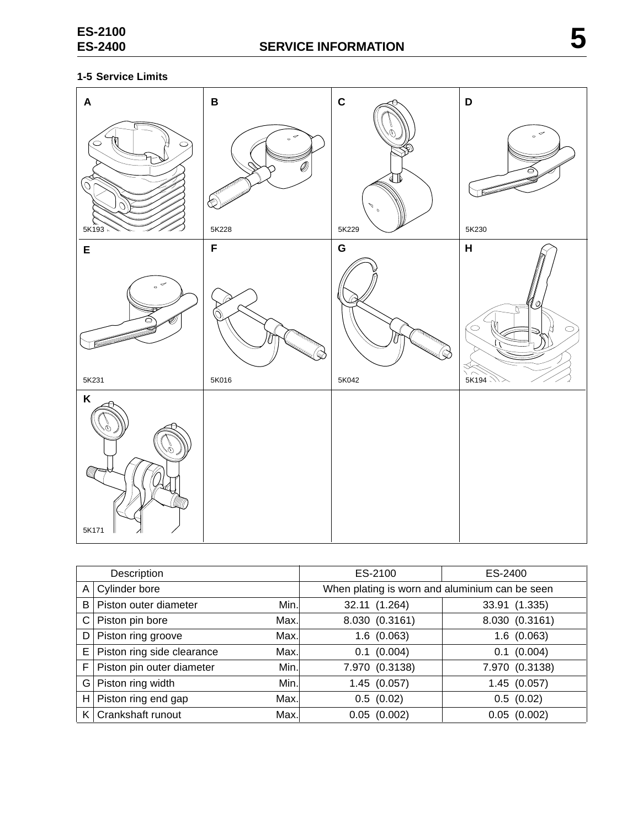# **1-5 Service Limits**

| $\boldsymbol{\mathsf{A}}$                    | $\, {\bf B}$                                                                                                                                                                                                                                                      | $\mathbf c$                                                                 | $\mathbf D$                       |
|----------------------------------------------|-------------------------------------------------------------------------------------------------------------------------------------------------------------------------------------------------------------------------------------------------------------------|-----------------------------------------------------------------------------|-----------------------------------|
| $\circ$<br>◯<br>Ŏ<br>5K193                   | $\mathcal{O}$<br>$\circ$<br>Ø<br><b>Elements</b><br>Assessment of the Assessment of<br>€<br>5K228                                                                                                                                                                 | له)<br>$\mathcal{N}$ $_{\circ}$<br>5K229                                    | $\sim$<br>5K230                   |
| E                                            | $\mathsf F$                                                                                                                                                                                                                                                       | ${\mathbf G}$                                                               | $\pmb{\mathsf{H}}$                |
| $\overline{\phantom{a}}$<br>$\circ$<br>5K231 | RANDRA BAY<br><b>Company of Company of Company of Company of Company of Company of Company of Company of Company of Company of Company of Company of Company of Company of Company of Company of Company of Company of Company of Company of C</b><br>()<br>5K016 | <b>REGISTER AND REGISTER</b><br><b>Comment of Charles Comments</b><br>5K042 | ! O<br>₫<br>C<br>$\circ$<br>5K194 |
| K                                            |                                                                                                                                                                                                                                                                   |                                                                             |                                   |
| Ø<br>M<br>(lllll<br>5K171                    |                                                                                                                                                                                                                                                                   |                                                                             |                                   |

|    | Description                |      | ES-2100                                        | ES-2400          |  |
|----|----------------------------|------|------------------------------------------------|------------------|--|
|    | Cylinder bore<br>A         |      | When plating is worn and aluminium can be seen |                  |  |
| B  | Piston outer diameter      | Min. | 32.11 (1.264)                                  | 33.91 (1.335)    |  |
| C  | Piston pin bore            | Max. | 8.030 (0.3161)                                 | 8.030 (0.3161)   |  |
| D  | Piston ring groove         | Max. | 1.6(0.063)                                     | 1.6(0.063)       |  |
| E. | Piston ring side clearance | Max. | 0.1 (0.004)                                    | $0.1$ (0.004)    |  |
| F  | Piston pin outer diameter  | Min. | 7.970 (0.3138)                                 | 7.970 (0.3138)   |  |
| G  | Piston ring width          | Min. | 1.45(0.057)                                    | 1.45(0.057)      |  |
| HI | Piston ring end gap        | Max. | 0.5(0.02)                                      | 0.5(0.02)        |  |
| ΚI | Crankshaft runout          | Max. | $0.05$ $(0.002)$                               | $0.05$ $(0.002)$ |  |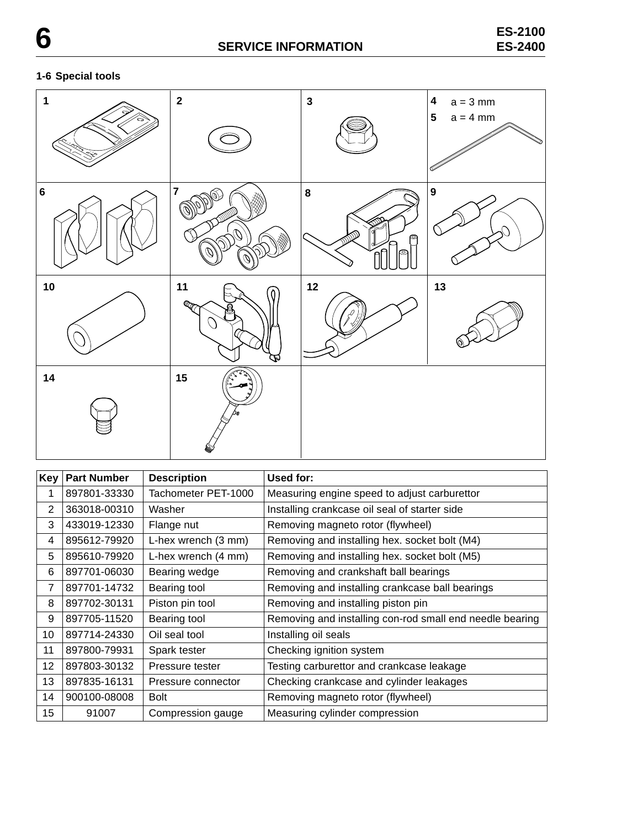# **1-6 Special tools**



| Key | <b>Part Number</b> | <b>Description</b>  | Used for:                                                |
|-----|--------------------|---------------------|----------------------------------------------------------|
| 1   | 897801-33330       | Tachometer PET-1000 | Measuring engine speed to adjust carburettor             |
| 2   | 363018-00310       | Washer              | Installing crankcase oil seal of starter side            |
| 3   | 433019-12330       | Flange nut          | Removing magneto rotor (flywheel)                        |
| 4   | 895612-79920       | L-hex wrench (3 mm) | Removing and installing hex. socket bolt (M4)            |
| 5   | 895610-79920       | L-hex wrench (4 mm) | Removing and installing hex. socket bolt (M5)            |
| 6   | 897701-06030       | Bearing wedge       | Removing and crankshaft ball bearings                    |
| 7   | 897701-14732       | Bearing tool        | Removing and installing crankcase ball bearings          |
| 8   | 897702-30131       | Piston pin tool     | Removing and installing piston pin                       |
| 9   | 897705-11520       | Bearing tool        | Removing and installing con-rod small end needle bearing |
| 10  | 897714-24330       | Oil seal tool       | Installing oil seals                                     |
| 11  | 897800-79931       | Spark tester        | Checking ignition system                                 |
| 12  | 897803-30132       | Pressure tester     | Testing carburettor and crankcase leakage                |
| 13  | 897835-16131       | Pressure connector  | Checking crankcase and cylinder leakages                 |
| 14  | 900100-08008       | <b>Bolt</b>         | Removing magneto rotor (flywheel)                        |
| 15  | 91007              | Compression gauge   | Measuring cylinder compression                           |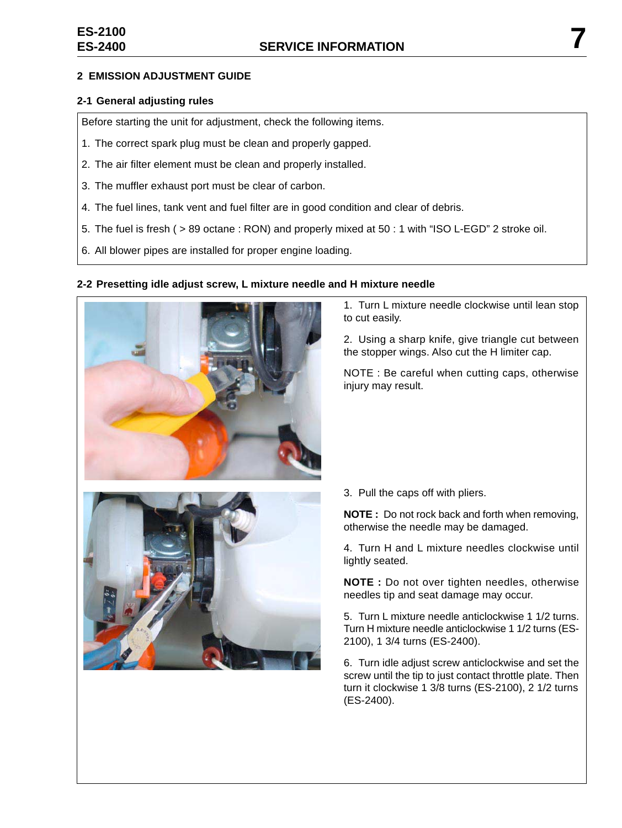#### **2 EMISSION ADJUSTMENT GUIDE**

#### **2-1 General adjusting rules**

Before starting the unit for adjustment, check the following items.

- 1. The correct spark plug must be clean and properly gapped.
- 2. The air filter element must be clean and properly installed.
- 3. The muffler exhaust port must be clear of carbon.
- 4. The fuel lines, tank vent and fuel filter are in good condition and clear of debris.
- 5. The fuel is fresh ( > 89 octane : RON) and properly mixed at 50 : 1 with "ISO L-EGD" 2 stroke oil.
- 6. All blower pipes are installed for proper engine loading.

#### **2-2 Presetting idle adjust screw, L mixture needle and H mixture needle**



- 1. Turn L mixture needle clockwise until lean stop to cut easily.
- 2. Using a sharp knife, give triangle cut between the stopper wings. Also cut the H limiter cap.

NOTE : Be careful when cutting caps, otherwise injury may result.

3. Pull the caps off with pliers.

**NOTE :** Do not rock back and forth when removing, otherwise the needle may be damaged.

4. Turn H and L mixture needles clockwise until lightly seated.

**NOTE :** Do not over tighten needles, otherwise needles tip and seat damage may occur.

5. Turn L mixture needle anticlockwise 1 1/2 turns. Turn H mixture needle anticlockwise 1 1/2 turns (ES-2100), 1 3/4 turns (ES-2400).

6. Turn idle adjust screw anticlockwise and set the screw until the tip to just contact throttle plate. Then turn it clockwise 1 3/8 turns (ES-2100), 2 1/2 turns (ES-2400).